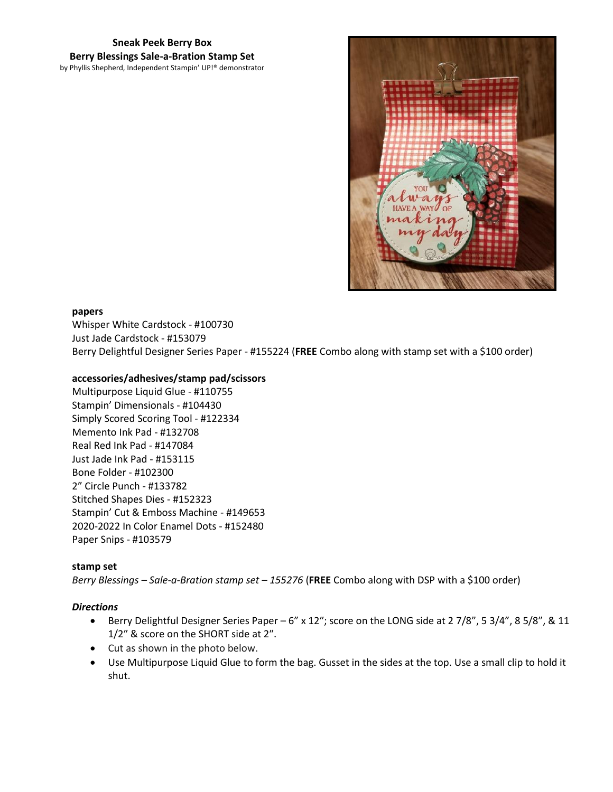### **Sneak Peek Berry Box Berry Blessings Sale-a-Bration Stamp Set** by Phyllis Shepherd, Independent Stampin' UP!® demonstrator



# **papers**

Whisper White Cardstock - #100730 Just Jade Cardstock - #153079 Berry Delightful Designer Series Paper - #155224 (**FREE** Combo along with stamp set with a \$100 order)

# **accessories/adhesives/stamp pad/scissors**

Multipurpose Liquid Glue - #110755 Stampin' Dimensionals - #104430 Simply Scored Scoring Tool - #122334 Memento Ink Pad - #132708 Real Red Ink Pad - #147084 Just Jade Ink Pad - #153115 Bone Folder - #102300 2" Circle Punch - #133782 Stitched Shapes Dies - #152323 Stampin' Cut & Emboss Machine - #149653 2020-2022 In Color Enamel Dots - #152480 Paper Snips - #103579

### **stamp set**

*Berry Blessings – Sale-a-Bration stamp set – 155276* (**FREE** Combo along with DSP with a \$100 order)

### *Directions*

- Berry Delightful Designer Series Paper 6" x 12″; score on the LONG side at 2 7/8", 5 3/4", 8 5/8", & 11 1/2″ & score on the SHORT side at 2″.
- Cut as shown in the photo below.
- Use Multipurpose Liquid Glue to form the bag. Gusset in the sides at the top. Use a small clip to hold it shut.